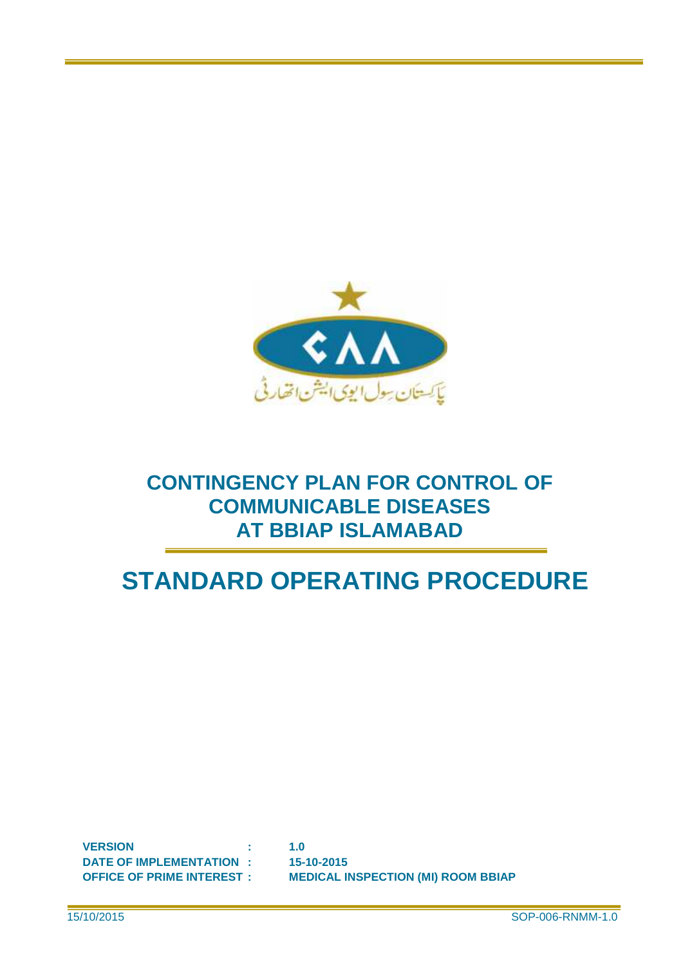

## **CONTINGENCY PLAN FOR CONTROL OF COMMUNICABLE DISEASES AT BBIAP ISLAMABAD**

# **STANDARD OPERATING PROCEDURE**

**VERSION : 1.0 DATE OF IMPLEMENTATION : 15-10-2015**

**OFFICE OF PRIME INTEREST : MEDICAL INSPECTION (MI) ROOM BBIAP**

15/10/2015 SOP-006-RNMM-1.0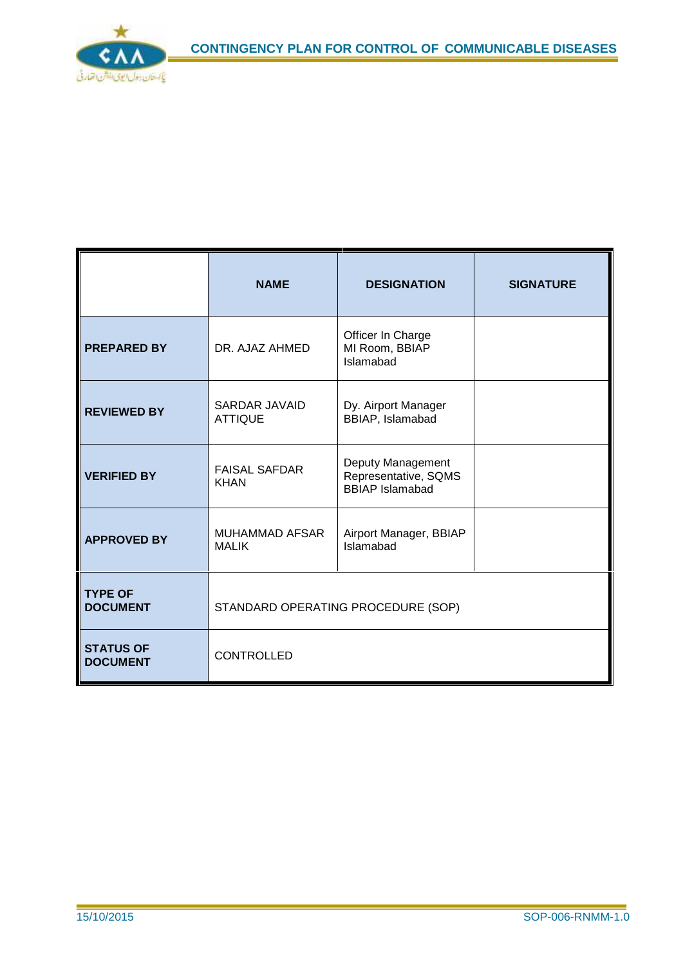

|                                     | <b>NAME</b>                            | <b>DESIGNATION</b>                                                  | <b>SIGNATURE</b> |
|-------------------------------------|----------------------------------------|---------------------------------------------------------------------|------------------|
| <b>PREPARED BY</b>                  | DR. AJAZ AHMED                         | Officer In Charge<br>MI Room, BBIAP<br>Islamabad                    |                  |
| <b>REVIEWED BY</b>                  | <b>SARDAR JAVAID</b><br><b>ATTIQUE</b> | Dy. Airport Manager<br>BBIAP, Islamabad                             |                  |
| <b>VERIFIED BY</b>                  | <b>FAISAL SAFDAR</b><br><b>KHAN</b>    | Deputy Management<br>Representative, SQMS<br><b>BBIAP</b> Islamabad |                  |
| <b>APPROVED BY</b>                  | <b>MUHAMMAD AFSAR</b><br><b>MALIK</b>  | Airport Manager, BBIAP<br>Islamabad                                 |                  |
| <b>TYPE OF</b><br><b>DOCUMENT</b>   | STANDARD OPERATING PROCEDURE (SOP)     |                                                                     |                  |
| <b>STATUS OF</b><br><b>DOCUMENT</b> | <b>CONTROLLED</b>                      |                                                                     |                  |

 $\overline{\phantom{a}}$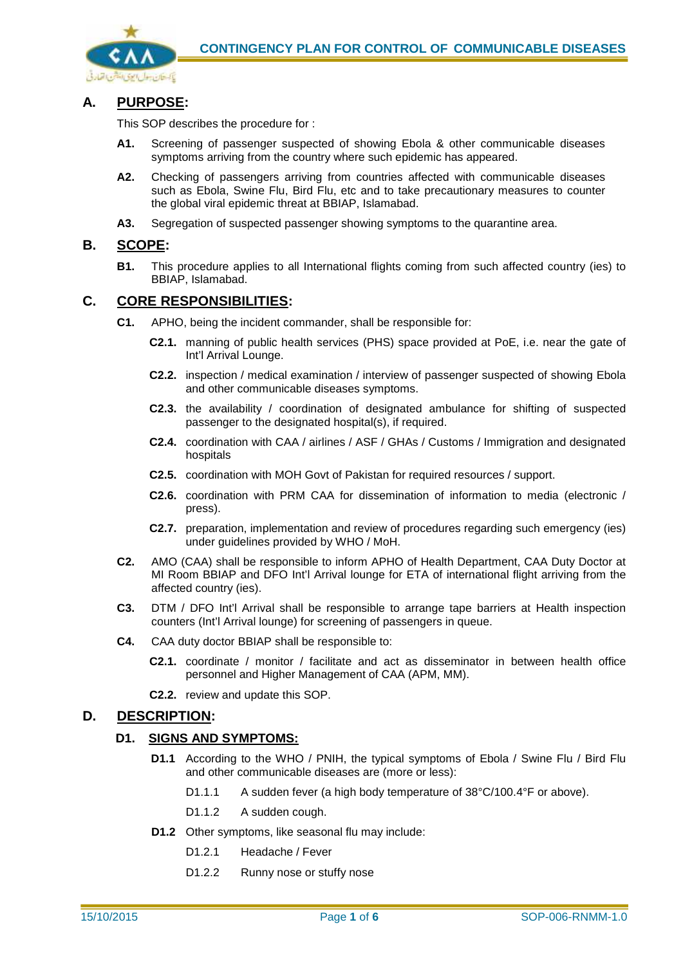

### **A. PURPOSE:**

This SOP describes the procedure for :

- **A1.** Screening of passenger suspected of showing Ebola & other communicable diseases symptoms arriving from the country where such epidemic has appeared.
- **A2.** Checking of passengers arriving from countries affected with communicable diseases such as Ebola, Swine Flu, Bird Flu, etc and to take precautionary measures to counter the global viral epidemic threat at BBIAP, Islamabad.
- **A3.** Segregation of suspected passenger showing symptoms to the quarantine area.

#### **B. SCOPE:**

**B1.** This procedure applies to all International flights coming from such affected country (ies) to BBIAP, Islamabad.

#### **C. CORE RESPONSIBILITIES:**

- **C1.** APHO, being the incident commander, shall be responsible for:
	- **C2.1.** manning of public health services (PHS) space provided at PoE, i.e. near the gate of Int'l Arrival Lounge.
	- **C2.2.** inspection / medical examination / interview of passenger suspected of showing Ebola and other communicable diseases symptoms.
	- **C2.3.** the availability / coordination of designated ambulance for shifting of suspected passenger to the designated hospital(s), if required.
	- **C2.4.** coordination with CAA / airlines / ASF / GHAs / Customs / Immigration and designated hospitals
	- **C2.5.** coordination with MOH Govt of Pakistan for required resources / support.
	- **C2.6.** coordination with PRM CAA for dissemination of information to media (electronic / press).
	- **C2.7.** preparation, implementation and review of procedures regarding such emergency (ies) under guidelines provided by WHO / MoH.
- **C2.** AMO (CAA) shall be responsible to inform APHO of Health Department, CAA Duty Doctor at MI Room BBIAP and DFO Int'l Arrival lounge for ETA of international flight arriving from the affected country (ies).
- **C3.** DTM / DFO Int'l Arrival shall be responsible to arrange tape barriers at Health inspection counters (Int'l Arrival lounge) for screening of passengers in queue.
- **C4.** CAA duty doctor BBIAP shall be responsible to:
	- **C2.1.** coordinate / monitor / facilitate and act as disseminator in between health office personnel and Higher Management of CAA (APM, MM).
	- **C2.2.** review and update this SOP.

### **D. DESCRIPTION:**

## **D1. SIGNS AND SYMPTOMS:**

- **D1.1** According to the WHO / PNIH, the typical symptoms of Ebola / Swine Flu / Bird Flu and other communicable diseases are (more or less):
	- D1.1.1 A sudden fever (a high body temperature of 38°C/100.4°F or above).
	- D1.1.2 A sudden cough.
- **D1.2** Other symptoms, like seasonal flu may include:
	- D1.2.1 Headache / Fever
	- D1.2.2 Runny nose or stuffy nose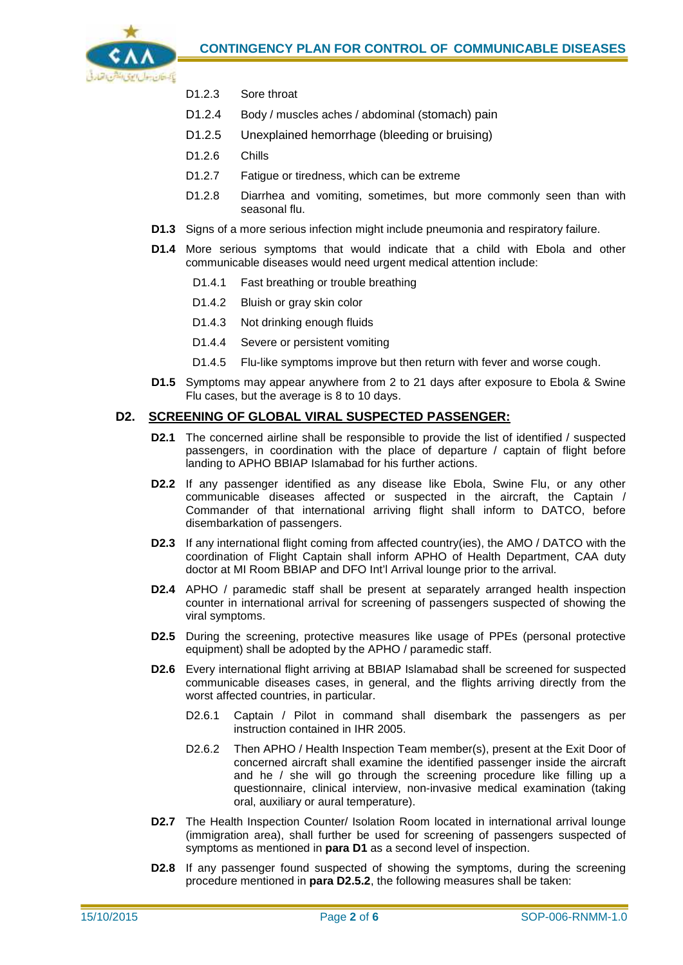

- D1.2.3 Sore throat
- D1.2.4 Body / muscles aches / abdominal (stomach) pain
- D1.2.5 Unexplained hemorrhage (bleeding or bruising)
- D1.2.6 Chills
- D1.2.7 Fatigue or tiredness, which can be extreme
- D1.2.8 Diarrhea and vomiting, sometimes, but more commonly seen than with seasonal flu.
- **D1.3** Signs of a more serious infection might include pneumonia and respiratory failure.
- **D1.4** More serious symptoms that would indicate that a child with Ebola and other communicable diseases would need urgent medical attention include:
	- D1.4.1 Fast breathing or trouble breathing
	- D1.4.2 Bluish or gray skin color
	- D1.4.3 Not drinking enough fluids
	- D1.4.4 Severe or persistent vomiting
	- D1.4.5 Flu-like symptoms improve but then return with fever and worse cough.
- **D1.5** Symptoms may appear anywhere from 2 to 21 days after exposure to Ebola & Swine Flu cases, but the average is 8 to 10 days.

#### **D2. SCREENING OF GLOBAL VIRAL SUSPECTED PASSENGER:**

- **D2.1** The concerned airline shall be responsible to provide the list of identified / suspected passengers, in coordination with the place of departure / captain of flight before landing to APHO BBIAP Islamabad for his further actions.
- **D2.2** If any passenger identified as any disease like Ebola, Swine Flu, or any other communicable diseases affected or suspected in the aircraft, the Captain / Commander of that international arriving flight shall inform to DATCO, before disembarkation of passengers.
- **D2.3** If any international flight coming from affected country(ies), the AMO / DATCO with the coordination of Flight Captain shall inform APHO of Health Department, CAA duty doctor at MI Room BBIAP and DFO Int'l Arrival lounge prior to the arrival.
- **D2.4** APHO / paramedic staff shall be present at separately arranged health inspection counter in international arrival for screening of passengers suspected of showing the viral symptoms.
- **D2.5** During the screening, protective measures like usage of PPEs (personal protective equipment) shall be adopted by the APHO / paramedic staff.
- **D2.6** Every international flight arriving at BBIAP Islamabad shall be screened for suspected communicable diseases cases, in general, and the flights arriving directly from the worst affected countries, in particular.
	- D2.6.1 Captain / Pilot in command shall disembark the passengers as per instruction contained in IHR 2005.
	- D2.6.2 Then APHO / Health Inspection Team member(s), present at the Exit Door of concerned aircraft shall examine the identified passenger inside the aircraft and he / she will go through the screening procedure like filling up a questionnaire, clinical interview, non-invasive medical examination (taking oral, auxiliary or aural temperature).
- **D2.7** The Health Inspection Counter/ Isolation Room located in international arrival lounge (immigration area), shall further be used for screening of passengers suspected of symptoms as mentioned in **para D1** as a second level of inspection.
- **D2.8** If any passenger found suspected of showing the symptoms, during the screening procedure mentioned in **para D2.5.2**, the following measures shall be taken: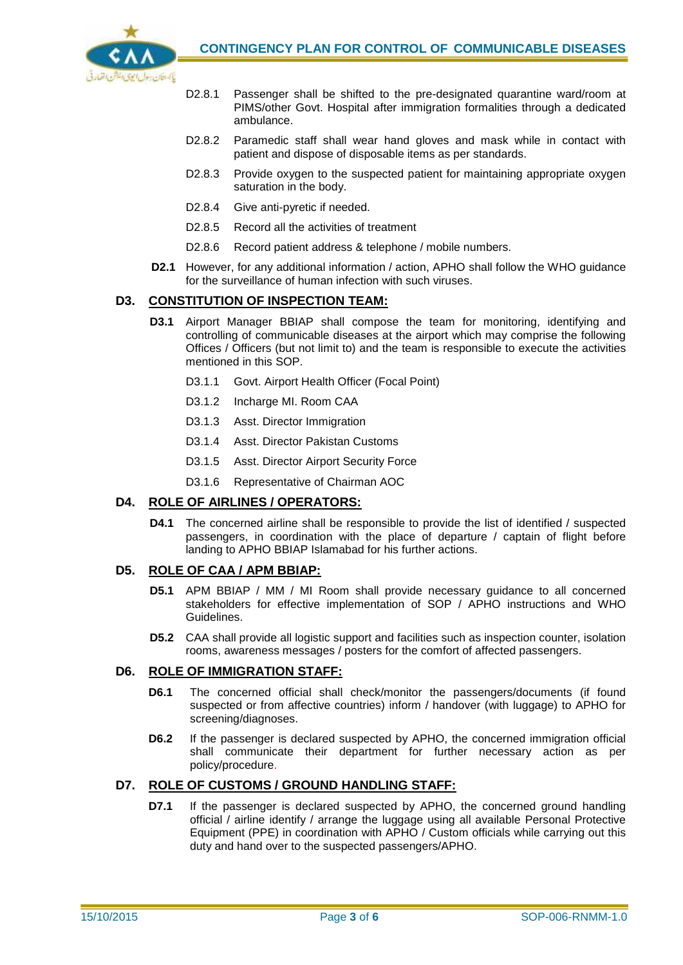

- D2.8.1 Passenger shall be shifted to the pre-designated quarantine ward/room at PIMS/other Govt. Hospital after immigration formalities through a dedicated ambulance.
- D2.8.2 Paramedic staff shall wear hand gloves and mask while in contact with patient and dispose of disposable items as per standards.
- D2.8.3 Provide oxygen to the suspected patient for maintaining appropriate oxygen saturation in the body.
- D2.8.4 Give anti-pyretic if needed.
- D2.8.5 Record all the activities of treatment
- D2.8.6 Record patient address & telephone / mobile numbers.
- **D2.1** However, for any additional information / action, APHO shall follow the WHO guidance for the surveillance of human infection with such viruses.

#### **D3. CONSTITUTION OF INSPECTION TEAM:**

- **D3.1** Airport Manager BBIAP shall compose the team for monitoring, identifying and controlling of communicable diseases at the airport which may comprise the following Offices / Officers (but not limit to) and the team is responsible to execute the activities mentioned in this SOP.
	- D3.1.1 Govt. Airport Health Officer (Focal Point)
	- D3.1.2 Incharge MI. Room CAA
	- D3.1.3 Asst. Director Immigration
	- D3.1.4 Asst. Director Pakistan Customs
	- D3.1.5 Asst. Director Airport Security Force
	- D3.1.6 Representative of Chairman AOC

#### **D4. ROLE OF AIRLINES / OPERATORS:**

**D4.1** The concerned airline shall be responsible to provide the list of identified / suspected passengers, in coordination with the place of departure / captain of flight before landing to APHO BBIAP Islamabad for his further actions.

#### **D5. ROLE OF CAA / APM BBIAP:**

- **D5.1** APM BBIAP / MM / MI Room shall provide necessary guidance to all concerned stakeholders for effective implementation of SOP / APHO instructions and WHO Guidelines.
- **D5.2** CAA shall provide all logistic support and facilities such as inspection counter, isolation rooms, awareness messages / posters for the comfort of affected passengers.

#### **D6. ROLE OF IMMIGRATION STAFF:**

- **D6.1** The concerned official shall check/monitor the passengers/documents (if found suspected or from affective countries) inform / handover (with luggage) to APHO for screening/diagnoses.
- **D6.2** If the passenger is declared suspected by APHO, the concerned immigration official shall communicate their department for further necessary action as per policy/procedure.

#### **D7. ROLE OF CUSTOMS / GROUND HANDLING STAFF:**

**D7.1** If the passenger is declared suspected by APHO, the concerned ground handling official / airline identify / arrange the luggage using all available Personal Protective Equipment (PPE) in coordination with APHO / Custom officials while carrying out this duty and hand over to the suspected passengers/APHO.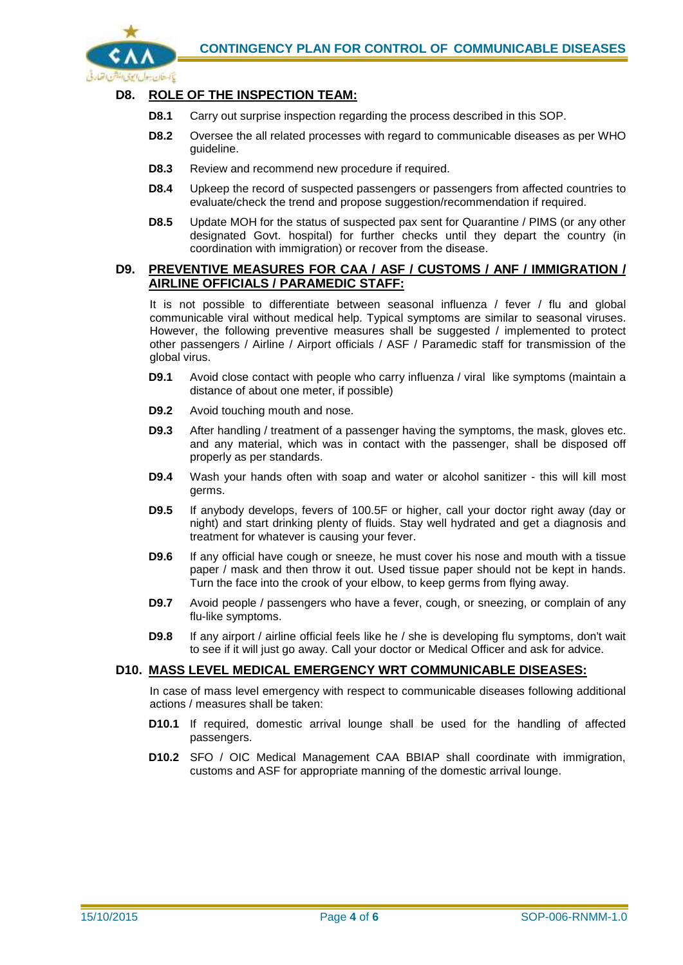

#### **D8. ROLE OF THE INSPECTION TEAM:**

- **D8.1** Carry out surprise inspection regarding the process described in this SOP.
- **D8.2** Oversee the all related processes with regard to communicable diseases as per WHO guideline.
- **D8.3** Review and recommend new procedure if required.
- **D8.4** Upkeep the record of suspected passengers or passengers from affected countries to evaluate/check the trend and propose suggestion/recommendation if required.
- **D8.5** Update MOH for the status of suspected pax sent for Quarantine / PIMS (or any other designated Govt. hospital) for further checks until they depart the country (in coordination with immigration) or recover from the disease.

#### **D9. PREVENTIVE MEASURES FOR CAA / ASF / CUSTOMS / ANF / IMMIGRATION / AIRLINE OFFICIALS / PARAMEDIC STAFF:**

It is not possible to differentiate between seasonal influenza / fever / flu and global communicable viral without medical help. Typical symptoms are similar to seasonal viruses. However, the following preventive measures shall be suggested / implemented to protect other passengers / Airline / Airport officials / ASF / Paramedic staff for transmission of the global virus.

- **D9.1** Avoid close contact with people who carry influenza / viral like symptoms (maintain a distance of about one meter, if possible)
- **D9.2** Avoid touching mouth and nose.
- **D9.3** After handling / treatment of a passenger having the symptoms, the mask, gloves etc. and any material, which was in contact with the passenger, shall be disposed off properly as per standards.
- **D9.4** Wash your hands often with soap and water or alcohol sanitizer this will kill most germs.
- **D9.5** If anybody develops, fevers of 100.5F or higher, call your doctor right away (day or night) and start drinking plenty of fluids. Stay well hydrated and get a diagnosis and treatment for whatever is causing your fever.
- **D9.6** If any official have cough or sneeze, he must cover his nose and mouth with a tissue paper / mask and then throw it out. Used tissue paper should not be kept in hands. Turn the face into the crook of your elbow, to keep germs from flying away.
- **D9.7** Avoid people / passengers who have a fever, cough, or sneezing, or complain of any flu-like symptoms.
- **D9.8** If any airport / airline official feels like he / she is developing flu symptoms, don't wait to see if it will just go away. Call your doctor or Medical Officer and ask for advice.

#### **D10. MASS LEVEL MEDICAL EMERGENCY WRT COMMUNICABLE DISEASES:**

In case of mass level emergency with respect to communicable diseases following additional actions / measures shall be taken:

- **D10.1** If required, domestic arrival lounge shall be used for the handling of affected passengers.
- **D10.2** SFO / OIC Medical Management CAA BBIAP shall coordinate with immigration, customs and ASF for appropriate manning of the domestic arrival lounge.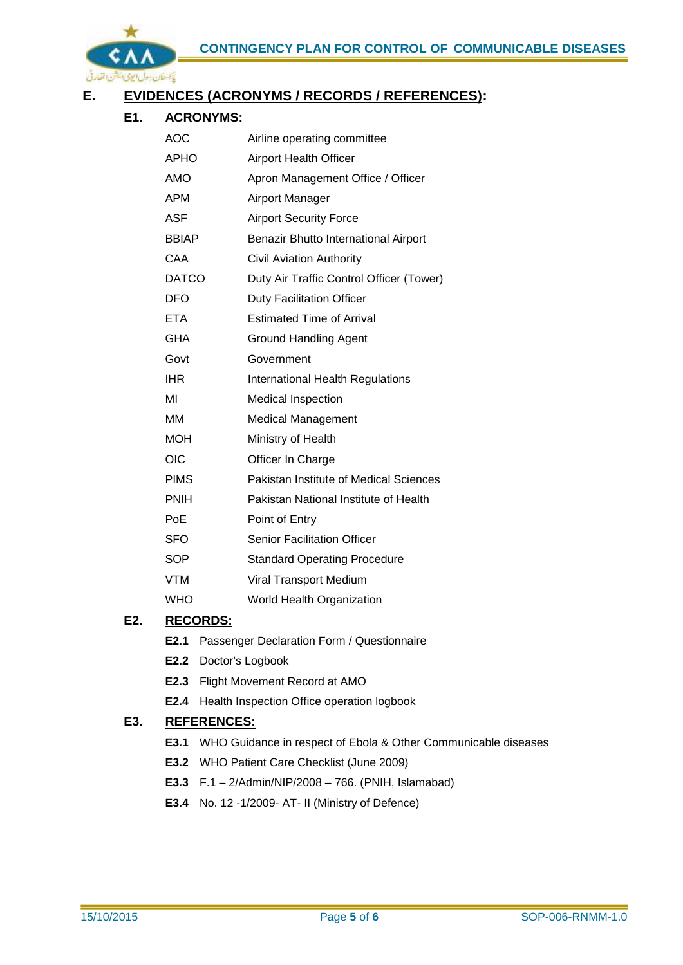

## **E. EVIDENCES (ACRONYMS / RECORDS / REFERENCES):**

## **E1. ACRONYMS:**

| AOC          | Airline operating committee              |  |  |
|--------------|------------------------------------------|--|--|
| APHO         | <b>Airport Health Officer</b>            |  |  |
| <b>AMO</b>   | Apron Management Office / Officer        |  |  |
| <b>APM</b>   | Airport Manager                          |  |  |
| ASF          | <b>Airport Security Force</b>            |  |  |
| <b>BBIAP</b> | Benazir Bhutto International Airport     |  |  |
| CAA          | <b>Civil Aviation Authority</b>          |  |  |
| <b>DATCO</b> | Duty Air Traffic Control Officer (Tower) |  |  |
| <b>DFO</b>   | <b>Duty Facilitation Officer</b>         |  |  |
| <b>ETA</b>   | <b>Estimated Time of Arrival</b>         |  |  |
| GHA          | <b>Ground Handling Agent</b>             |  |  |
| Govt         | Government                               |  |  |
| <b>IHR</b>   | International Health Regulations         |  |  |
| MI           | <b>Medical Inspection</b>                |  |  |
| MМ           | <b>Medical Management</b>                |  |  |
| <b>MOH</b>   | Ministry of Health                       |  |  |
| <b>OIC</b>   | Officer In Charge                        |  |  |
| <b>PIMS</b>  | Pakistan Institute of Medical Sciences   |  |  |
| <b>PNIH</b>  | Pakistan National Institute of Health    |  |  |
| PoE          | Point of Entry                           |  |  |
| <b>SFO</b>   | <b>Senior Facilitation Officer</b>       |  |  |
| <b>SOP</b>   | <b>Standard Operating Procedure</b>      |  |  |
| VTM          | Viral Transport Medium                   |  |  |
|              |                                          |  |  |

## WHO World Health Organization

## **E2. RECORDS:**

- **E2.1** Passenger Declaration Form / Questionnaire
- **E2.2** Doctor's Logbook
- **E2.3** Flight Movement Record at AMO
- **E2.4** Health Inspection Office operation logbook

## **E3. REFERENCES:**

- **E3.1** WHO Guidance in respect of Ebola & Other Communicable diseases
- **E3.2** WHO Patient Care Checklist (June 2009)
- **E3.3** F.1 2/Admin/NIP/2008 766. (PNIH, Islamabad)
- **E3.4** No. 12 -1/2009- AT- II (Ministry of Defence)